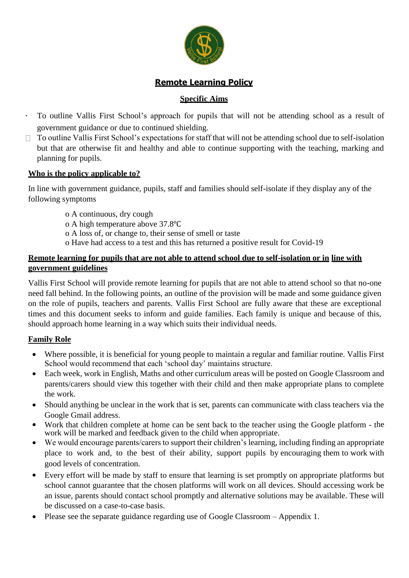

# **Remote Learning Policy**

## **Specific Aims**

- To outline Vallis First School's approach for pupils that will not be attending school as a result of government guidance or due to continued shielding.
- $\Box$  To outline Vallis First School's expectations for staff that will not be attending school due to self-isolation but that are otherwise fit and healthy and able to continue supporting with the teaching, marking and planning for pupils.

#### **Who is the policy applicable to?**

In line with government guidance, pupils, staff and families should self-isolate if they display any of the following symptoms

- o A continuous, dry cough
- o A high temperature above 37.8℃
- o A loss of, or change to, their sense of smell or taste
- o Have had access to a test and this has returned a positive result for Covid-19

#### **Remote learning for pupils that are not able to attend school due to self-isolation or in line with government guidelines**

Vallis First School will provide remote learning for pupils that are not able to attend school so that no-one need fall behind. In the following points, an outline of the provision will be made and some guidance given on the role of pupils, teachers and parents. Vallis First School are fully aware that these are exceptional times and this document seeks to inform and guide families. Each family is unique and because of this, should approach home learning in a way which suits their individual needs.

## **Family Role**

- Where possible, it is beneficial for young people to maintain a regular and familiar routine. Vallis First School would recommend that each 'school day' maintains structure.
- Each week, work in English, Maths and other curriculum areas will be posted on Google Classroom and parents/carers should view this together with their child and then make appropriate plans to complete the work.
- Should anything be unclear in the work that is set, parents can communicate with class teachers via the Google Gmail address.
- Work that children complete at home can be sent back to the teacher using the Google platform the work will be marked and feedback given to the child when appropriate.
- We would encourage parents/carers to support their children's learning, including finding an appropriate place to work and, to the best of their ability, support pupils by encouraging them to work with good levels of concentration.
- Every effort will be made by staff to ensure that learning is set promptly on appropriate platforms but school cannot guarantee that the chosen platforms will work on all devices. Should accessing work be an issue, parents should contact school promptly and alternative solutions may be available. These will be discussed on a case-to-case basis.
- Please see the separate guidance regarding use of Google Classroom Appendix 1.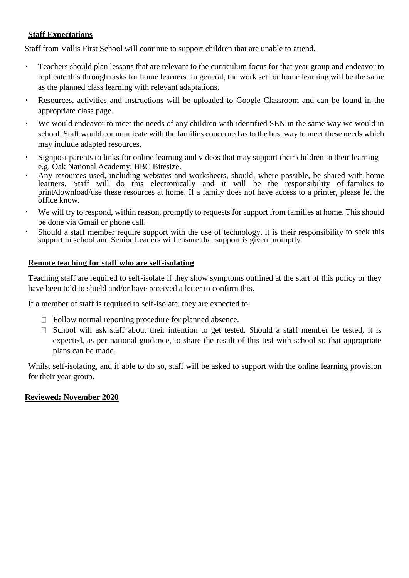#### **Staff Expectations**

Staff from Vallis First School will continue to support children that are unable to attend.

- Teachers should plan lessons that are relevant to the curriculum focus for that year group and endeavor to replicate this through tasks for home learners. In general, the work set for home learning will be the same as the planned class learning with relevant adaptations.
- Resources, activities and instructions will be uploaded to Google Classroom and can be found in the appropriate class page.
- We would endeavor to meet the needs of any children with identified SEN in the same way we would in school. Staff would communicate with the families concerned as to the best way to meet these needs which may include adapted resources.
- Signpost parents to links for online learning and videos that may support their children in their learning e.g. Oak National Academy; BBC Bitesize.
- Any resources used, including websites and worksheets, should, where possible, be shared with home learners. Staff will do this electronically and it will be the responsibility of families to print/download/use these resources at home. If a family does not have access to a printer, please let the office know.
- We will try to respond, within reason, promptly to requests for support from families at home. This should be done via Gmail or phone call.
- Should a staff member require support with the use of technology, it is their responsibility to seek this support in school and Senior Leaders will ensure that support is given promptly.

#### **Remote teaching for staff who are self-isolating**

Teaching staff are required to self-isolate if they show symptoms outlined at the start of this policy or they have been told to shield and/or have received a letter to confirm this.

If a member of staff is required to self-isolate, they are expected to:

- $\Box$  Follow normal reporting procedure for planned absence.
- $\Box$  School will ask staff about their intention to get tested. Should a staff member be tested, it is expected, as per national guidance, to share the result of this test with school so that appropriate plans can be made.

Whilst self-isolating, and if able to do so, staff will be asked to support with the online learning provision for their year group.

#### **Reviewed: November 2020**